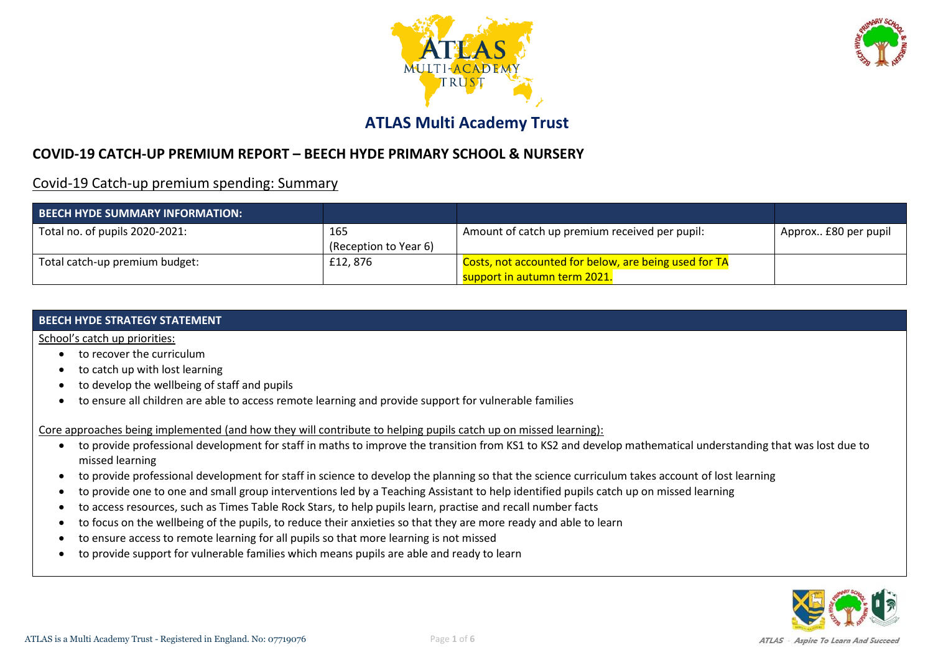



### **ATLAS Multi Academy Trust**

### **COVID-19 CATCH-UP PREMIUM REPORT – BEECH HYDE PRIMARY SCHOOL & NURSERY**

Covid-19 Catch-up premium spending: Summary

| <b>BEECH HYDE SUMMARY INFORMATION:</b> |                              |                                                                                       |                      |
|----------------------------------------|------------------------------|---------------------------------------------------------------------------------------|----------------------|
| Total no. of pupils 2020-2021:         | 165<br>(Reception to Year 6) | Amount of catch up premium received per pupil:                                        | Approx £80 per pupil |
| Total catch-up premium budget:         | £12,876                      | Costs, not accounted for below, are being used for TA<br>support in autumn term 2021. |                      |

#### **BEECH HYDE STRATEGY STATEMENT**

School's catch up priorities:

- to recover the curriculum
- to catch up with lost learning
- to develop the wellbeing of staff and pupils
- to ensure all children are able to access remote learning and provide support for vulnerable families

Core approaches being implemented (and how they will contribute to helping pupils catch up on missed learning):

- to provide professional development for staff in maths to improve the transition from KS1 to KS2 and develop mathematical understanding that was lost due to missed learning
- to provide professional development for staff in science to develop the planning so that the science curriculum takes account of lost learning
- to provide one to one and small group interventions led by a Teaching Assistant to help identified pupils catch up on missed learning
- to access resources, such as Times Table Rock Stars, to help pupils learn, practise and recall number facts
- to focus on the wellbeing of the pupils, to reduce their anxieties so that they are more ready and able to learn
- to ensure access to remote learning for all pupils so that more learning is not missed
- to provide support for vulnerable families which means pupils are able and ready to learn

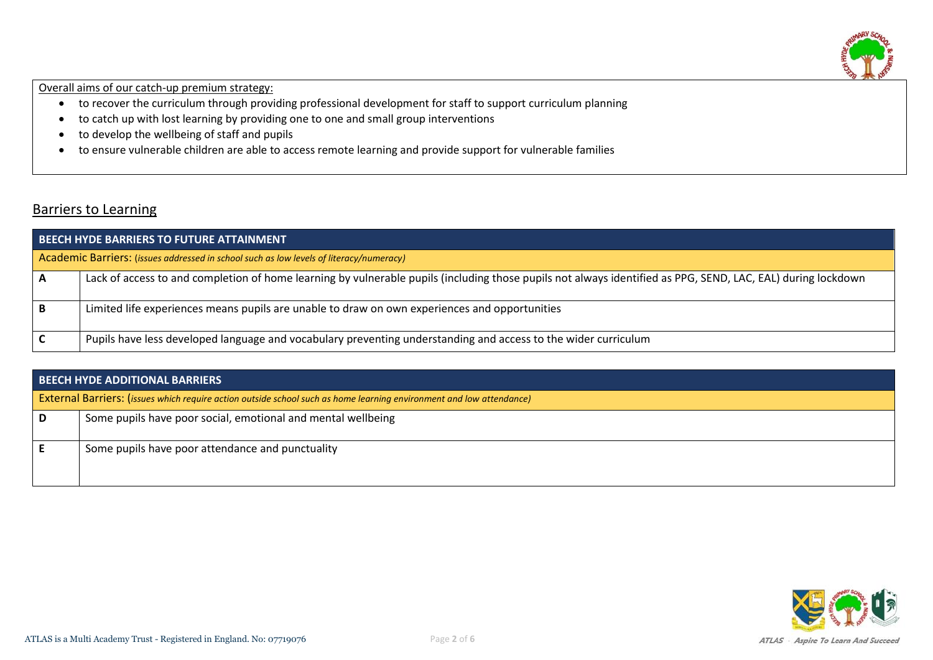

Overall aims of our catch-up premium strategy:

- to recover the curriculum through providing professional development for staff to support curriculum planning
- to catch up with lost learning by providing one to one and small group interventions
- to develop the wellbeing of staff and pupils
- to ensure vulnerable children are able to access remote learning and provide support for vulnerable families

### Barriers to Learning

| <b>BEECH HYDE BARRIERS TO FUTURE ATTAINMENT</b> |                                                                                                                                                              |  |  |  |  |
|-------------------------------------------------|--------------------------------------------------------------------------------------------------------------------------------------------------------------|--|--|--|--|
|                                                 | Academic Barriers: (issues addressed in school such as low levels of literacy/numeracy)                                                                      |  |  |  |  |
|                                                 | Lack of access to and completion of home learning by vulnerable pupils (including those pupils not always identified as PPG, SEND, LAC, EAL) during lockdown |  |  |  |  |
|                                                 | Limited life experiences means pupils are unable to draw on own experiences and opportunities                                                                |  |  |  |  |
|                                                 | Pupils have less developed language and vocabulary preventing understanding and access to the wider curriculum                                               |  |  |  |  |

| <b>BEECH HYDE ADDITIONAL BARRIERS</b>                                                                                       |  |  |  |  |
|-----------------------------------------------------------------------------------------------------------------------------|--|--|--|--|
| <b>External Barriers: (issues which require action outside school such as home learning environment and low attendance)</b> |  |  |  |  |
| Some pupils have poor social, emotional and mental wellbeing                                                                |  |  |  |  |
| Some pupils have poor attendance and punctuality                                                                            |  |  |  |  |

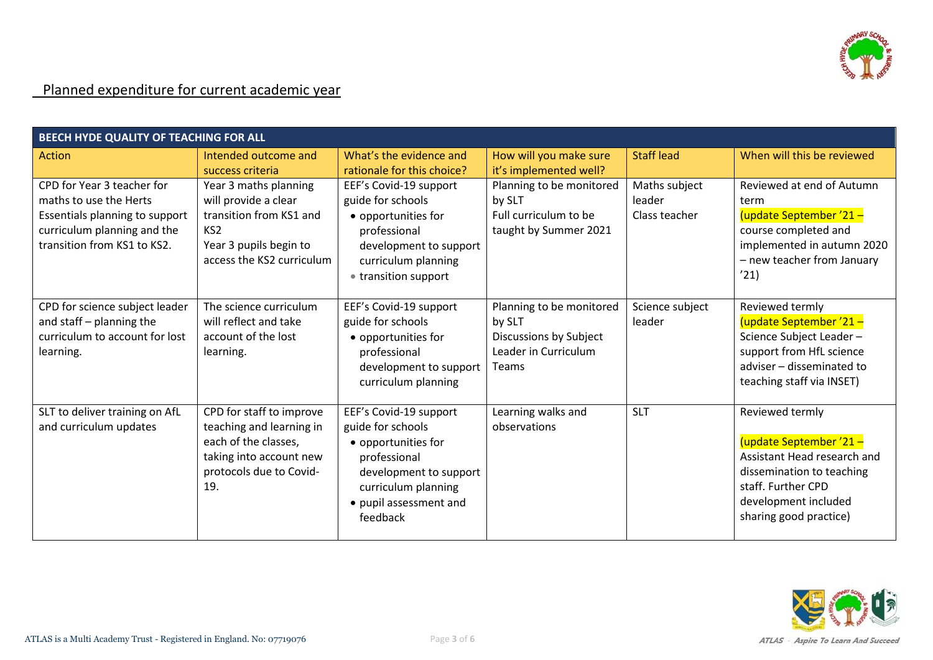

# Planned expenditure for current academic year

| BEECH HYDE QUALITY OF TEACHING FOR ALL                                                                                                               |                                                                                                                                                    |                                                                                                                                                                           |                                                                                                      |                                          |                                                                                                                                                                               |
|------------------------------------------------------------------------------------------------------------------------------------------------------|----------------------------------------------------------------------------------------------------------------------------------------------------|---------------------------------------------------------------------------------------------------------------------------------------------------------------------------|------------------------------------------------------------------------------------------------------|------------------------------------------|-------------------------------------------------------------------------------------------------------------------------------------------------------------------------------|
| <b>Action</b>                                                                                                                                        | Intended outcome and<br>success criteria                                                                                                           | What's the evidence and<br>rationale for this choice?                                                                                                                     | How will you make sure<br>it's implemented well?                                                     | <b>Staff lead</b>                        | When will this be reviewed                                                                                                                                                    |
| CPD for Year 3 teacher for<br>maths to use the Herts<br>Essentials planning to support<br>curriculum planning and the<br>transition from KS1 to KS2. | Year 3 maths planning<br>will provide a clear<br>transition from KS1 and<br>KS <sub>2</sub><br>Year 3 pupils begin to<br>access the KS2 curriculum | EEF's Covid-19 support<br>guide for schools<br>• opportunities for<br>professional<br>development to support<br>curriculum planning<br>• transition support               | Planning to be monitored<br>by SLT<br>Full curriculum to be<br>taught by Summer 2021                 | Maths subject<br>leader<br>Class teacher | Reviewed at end of Autumn<br>term<br>(update September '21 -<br>course completed and<br>implemented in autumn 2020<br>- new teacher from January<br>'21)                      |
| CPD for science subject leader<br>and staff - planning the<br>curriculum to account for lost<br>learning.                                            | The science curriculum<br>will reflect and take<br>account of the lost<br>learning.                                                                | EEF's Covid-19 support<br>guide for schools<br>• opportunities for<br>professional<br>development to support<br>curriculum planning                                       | Planning to be monitored<br>by SLT<br>Discussions by Subject<br>Leader in Curriculum<br><b>Teams</b> | Science subject<br>leader                | Reviewed termly<br>(update September '21 -<br>Science Subject Leader-<br>support from HfL science<br>adviser - disseminated to<br>teaching staff via INSET)                   |
| SLT to deliver training on AfL<br>and curriculum updates                                                                                             | CPD for staff to improve<br>teaching and learning in<br>each of the classes,<br>taking into account new<br>protocols due to Covid-<br>19.          | EEF's Covid-19 support<br>guide for schools<br>• opportunities for<br>professional<br>development to support<br>curriculum planning<br>• pupil assessment and<br>feedback | Learning walks and<br>observations                                                                   | <b>SLT</b>                               | Reviewed termly<br>(update September '21-<br>Assistant Head research and<br>dissemination to teaching<br>staff. Further CPD<br>development included<br>sharing good practice) |

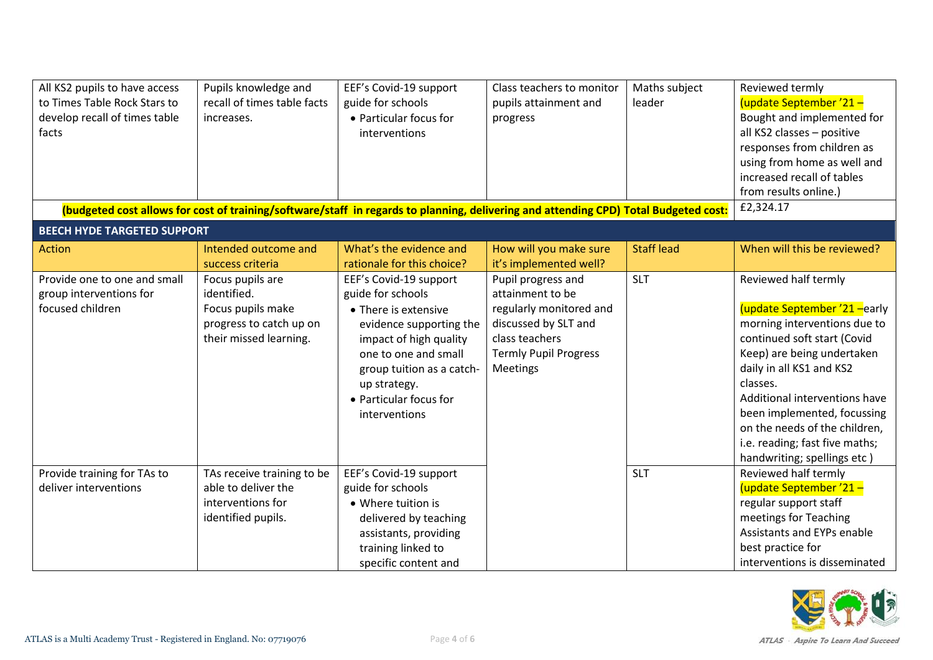| All KS2 pupils to have access<br>to Times Table Rock Stars to<br>develop recall of times table<br>facts | Pupils knowledge and<br>recall of times table facts<br>increases.                                         | EEF's Covid-19 support<br>guide for schools<br>• Particular focus for<br>interventions                                                                                                                                                   | Class teachers to monitor<br>pupils attainment and<br>progress                                                                                          | Maths subject<br>leader | Reviewed termly<br>(update September '21 -<br>Bought and implemented for<br>all KS2 classes - positive<br>responses from children as<br>using from home as well and<br>increased recall of tables                                                                                                                                                            |
|---------------------------------------------------------------------------------------------------------|-----------------------------------------------------------------------------------------------------------|------------------------------------------------------------------------------------------------------------------------------------------------------------------------------------------------------------------------------------------|---------------------------------------------------------------------------------------------------------------------------------------------------------|-------------------------|--------------------------------------------------------------------------------------------------------------------------------------------------------------------------------------------------------------------------------------------------------------------------------------------------------------------------------------------------------------|
|                                                                                                         |                                                                                                           |                                                                                                                                                                                                                                          |                                                                                                                                                         |                         | from results online.)<br>£2,324.17                                                                                                                                                                                                                                                                                                                           |
|                                                                                                         |                                                                                                           | (budgeted cost allows for cost of training/software/staff in regards to planning, delivering and attending CPD) Total Budgeted cost:                                                                                                     |                                                                                                                                                         |                         |                                                                                                                                                                                                                                                                                                                                                              |
| <b>BEECH HYDE TARGETED SUPPORT</b>                                                                      |                                                                                                           |                                                                                                                                                                                                                                          |                                                                                                                                                         |                         |                                                                                                                                                                                                                                                                                                                                                              |
| <b>Action</b>                                                                                           | Intended outcome and<br>success criteria                                                                  | What's the evidence and<br>rationale for this choice?                                                                                                                                                                                    | How will you make sure<br>it's implemented well?                                                                                                        | <b>Staff lead</b>       | When will this be reviewed?                                                                                                                                                                                                                                                                                                                                  |
| Provide one to one and small<br>group interventions for<br>focused children                             | Focus pupils are<br>identified.<br>Focus pupils make<br>progress to catch up on<br>their missed learning. | EEF's Covid-19 support<br>guide for schools<br>• There is extensive<br>evidence supporting the<br>impact of high quality<br>one to one and small<br>group tuition as a catch-<br>up strategy.<br>• Particular focus for<br>interventions | Pupil progress and<br>attainment to be<br>regularly monitored and<br>discussed by SLT and<br>class teachers<br><b>Termly Pupil Progress</b><br>Meetings | <b>SLT</b>              | Reviewed half termly<br>(update September '21 - early<br>morning interventions due to<br>continued soft start (Covid<br>Keep) are being undertaken<br>daily in all KS1 and KS2<br>classes.<br>Additional interventions have<br>been implemented, focussing<br>on the needs of the children,<br>i.e. reading; fast five maths;<br>handwriting; spellings etc) |
| Provide training for TAs to<br>deliver interventions                                                    | TAs receive training to be<br>able to deliver the<br>interventions for<br>identified pupils.              | EEF's Covid-19 support<br>guide for schools<br>• Where tuition is<br>delivered by teaching<br>assistants, providing<br>training linked to<br>specific content and                                                                        |                                                                                                                                                         | <b>SLT</b>              | Reviewed half termly<br>(update September '21 -<br>regular support staff<br>meetings for Teaching<br>Assistants and EYPs enable<br>best practice for<br>interventions is disseminated                                                                                                                                                                        |

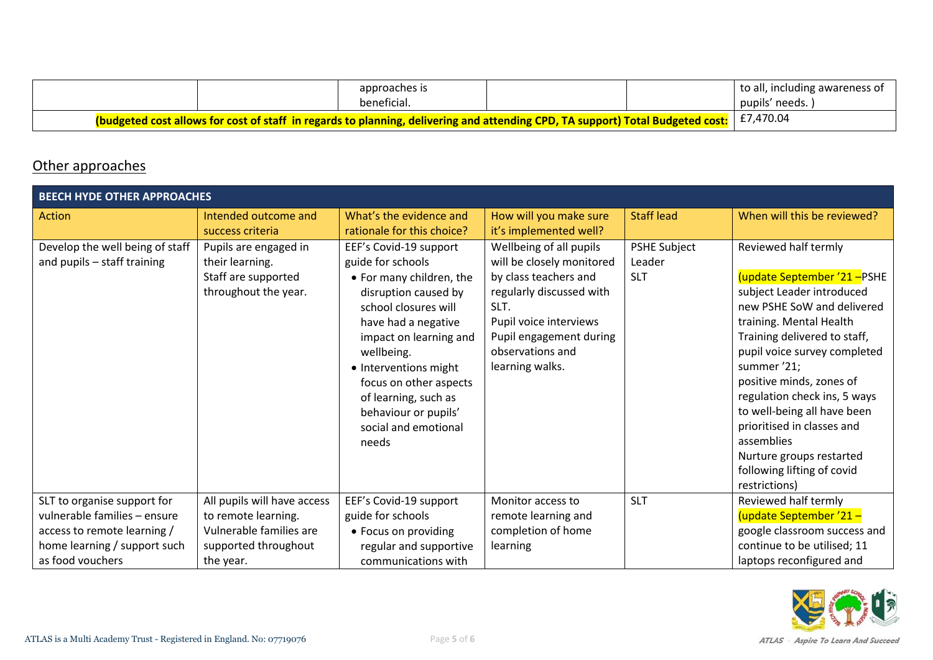|                                                                                                                                |  | approaches is<br>beneficial. |  |  | to all, including awareness of<br>pupils' needs. |
|--------------------------------------------------------------------------------------------------------------------------------|--|------------------------------|--|--|--------------------------------------------------|
| (budgeted cost allows for cost of staff in regards to planning, delivering and attending CPD, TA support) Total Budgeted cost: |  |                              |  |  | E7,470.04                                        |

# Other approaches

| <b>BEECH HYDE OTHER APPROACHES</b>                             |                                                                                         |                                                                                                                                                                                                                                                                                                                            |                                                                                                                                                                                                               |                                             |                                                                                                                                                                                                                                                                                                                                                                                                                                          |
|----------------------------------------------------------------|-----------------------------------------------------------------------------------------|----------------------------------------------------------------------------------------------------------------------------------------------------------------------------------------------------------------------------------------------------------------------------------------------------------------------------|---------------------------------------------------------------------------------------------------------------------------------------------------------------------------------------------------------------|---------------------------------------------|------------------------------------------------------------------------------------------------------------------------------------------------------------------------------------------------------------------------------------------------------------------------------------------------------------------------------------------------------------------------------------------------------------------------------------------|
| <b>Action</b>                                                  | Intended outcome and<br>success criteria                                                | What's the evidence and<br>rationale for this choice?                                                                                                                                                                                                                                                                      | How will you make sure<br>it's implemented well?                                                                                                                                                              | <b>Staff lead</b>                           | When will this be reviewed?                                                                                                                                                                                                                                                                                                                                                                                                              |
| Develop the well being of staff<br>and pupils - staff training | Pupils are engaged in<br>their learning.<br>Staff are supported<br>throughout the year. | EEF's Covid-19 support<br>guide for schools<br>• For many children, the<br>disruption caused by<br>school closures will<br>have had a negative<br>impact on learning and<br>wellbeing.<br>• Interventions might<br>focus on other aspects<br>of learning, such as<br>behaviour or pupils'<br>social and emotional<br>needs | Wellbeing of all pupils<br>will be closely monitored<br>by class teachers and<br>regularly discussed with<br>SLT.<br>Pupil voice interviews<br>Pupil engagement during<br>observations and<br>learning walks. | <b>PSHE Subject</b><br>Leader<br><b>SLT</b> | Reviewed half termly<br>update September '21-PSHE<br>subject Leader introduced<br>new PSHE SoW and delivered<br>training. Mental Health<br>Training delivered to staff,<br>pupil voice survey completed<br>summer '21;<br>positive minds, zones of<br>regulation check ins, 5 ways<br>to well-being all have been<br>prioritised in classes and<br>assemblies<br>Nurture groups restarted<br>following lifting of covid<br>restrictions) |
| SLT to organise support for                                    | All pupils will have access                                                             | EEF's Covid-19 support                                                                                                                                                                                                                                                                                                     | Monitor access to                                                                                                                                                                                             | <b>SLT</b>                                  | Reviewed half termly                                                                                                                                                                                                                                                                                                                                                                                                                     |
| vulnerable families - ensure                                   | to remote learning.                                                                     | guide for schools                                                                                                                                                                                                                                                                                                          | remote learning and                                                                                                                                                                                           |                                             | (update September '21 -                                                                                                                                                                                                                                                                                                                                                                                                                  |
| access to remote learning /                                    | Vulnerable families are                                                                 | • Focus on providing                                                                                                                                                                                                                                                                                                       | completion of home                                                                                                                                                                                            |                                             | google classroom success and                                                                                                                                                                                                                                                                                                                                                                                                             |
| home learning / support such                                   | supported throughout                                                                    | regular and supportive                                                                                                                                                                                                                                                                                                     | learning                                                                                                                                                                                                      |                                             | continue to be utilised; 11                                                                                                                                                                                                                                                                                                                                                                                                              |
| as food vouchers                                               | the year.                                                                               | communications with                                                                                                                                                                                                                                                                                                        |                                                                                                                                                                                                               |                                             | laptops reconfigured and                                                                                                                                                                                                                                                                                                                                                                                                                 |